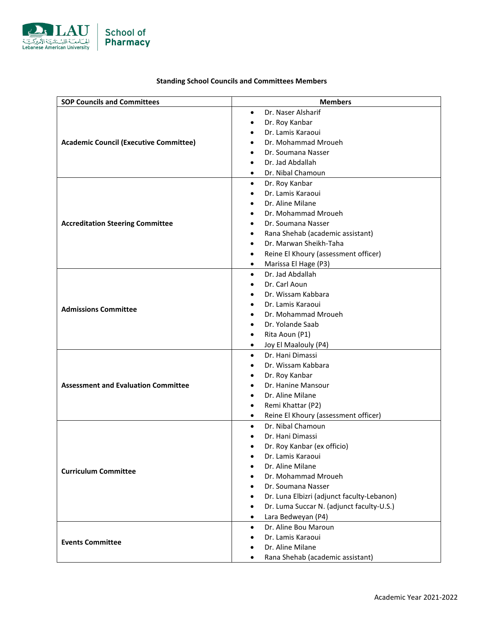

| <b>Standing School Councils and Committees Members</b> |
|--------------------------------------------------------|
|--------------------------------------------------------|

| <b>SOP Councils and Committees</b>            | <b>Members</b>                                          |
|-----------------------------------------------|---------------------------------------------------------|
|                                               | Dr. Naser Alsharif<br>$\bullet$                         |
|                                               | Dr. Roy Kanbar<br>$\bullet$                             |
|                                               | Dr. Lamis Karaoui<br>$\bullet$                          |
| <b>Academic Council (Executive Committee)</b> | Dr. Mohammad Mroueh<br>$\bullet$                        |
|                                               | Dr. Soumana Nasser<br>$\bullet$                         |
|                                               | Dr. Jad Abdallah<br>$\bullet$                           |
|                                               | Dr. Nibal Chamoun<br>$\bullet$                          |
|                                               | Dr. Roy Kanbar<br>$\bullet$                             |
|                                               | Dr. Lamis Karaoui                                       |
|                                               | Dr. Aline Milane                                        |
|                                               | Dr. Mohammad Mroueh                                     |
| <b>Accreditation Steering Committee</b>       | Dr. Soumana Nasser                                      |
|                                               | Rana Shehab (academic assistant)<br>$\bullet$           |
|                                               | Dr. Marwan Sheikh-Taha<br>$\bullet$                     |
|                                               | Reine El Khoury (assessment officer)<br>$\bullet$       |
|                                               | Marissa El Hage (P3)<br>$\bullet$                       |
|                                               | Dr. Jad Abdallah<br>$\bullet$                           |
|                                               | Dr. Carl Aoun                                           |
|                                               | Dr. Wissam Kabbara                                      |
| <b>Admissions Committee</b>                   | Dr. Lamis Karaoui<br>$\bullet$                          |
|                                               | Dr. Mohammad Mroueh<br>$\bullet$                        |
|                                               | Dr. Yolande Saab<br>$\bullet$                           |
|                                               | Rita Aoun (P1)<br>$\bullet$                             |
|                                               | Joy El Maalouly (P4)<br>$\bullet$                       |
|                                               | Dr. Hani Dimassi<br>$\bullet$                           |
| <b>Assessment and Evaluation Committee</b>    | Dr. Wissam Kabbara                                      |
|                                               | Dr. Roy Kanbar<br>$\bullet$                             |
|                                               | Dr. Hanine Mansour<br>$\bullet$                         |
|                                               | Dr. Aline Milane<br>$\bullet$                           |
|                                               | Remi Khattar (P2)<br>$\bullet$                          |
|                                               | Reine El Khoury (assessment officer)<br>$\bullet$       |
| <b>Curriculum Committee</b>                   | Dr. Nibal Chamoun<br>$\bullet$                          |
|                                               | Dr. Hani Dimassi                                        |
|                                               | Dr. Roy Kanbar (ex officio)                             |
|                                               | Dr. Lamis Karaoui<br>٠                                  |
|                                               | Dr. Aline Milane                                        |
|                                               | Dr. Mohammad Mroueh<br>$\bullet$                        |
|                                               | Dr. Soumana Nasser<br>$\bullet$                         |
|                                               | Dr. Luna Elbizri (adjunct faculty-Lebanon)<br>$\bullet$ |
|                                               | Dr. Luma Succar N. (adjunct faculty-U.S.)<br>$\bullet$  |
|                                               | Lara Bedweyan (P4)<br>$\bullet$                         |
| <b>Events Committee</b>                       | Dr. Aline Bou Maroun<br>$\bullet$                       |
|                                               | Dr. Lamis Karaoui<br>٠                                  |
|                                               | Dr. Aline Milane<br>$\bullet$                           |
|                                               | Rana Shehab (academic assistant)<br>٠                   |